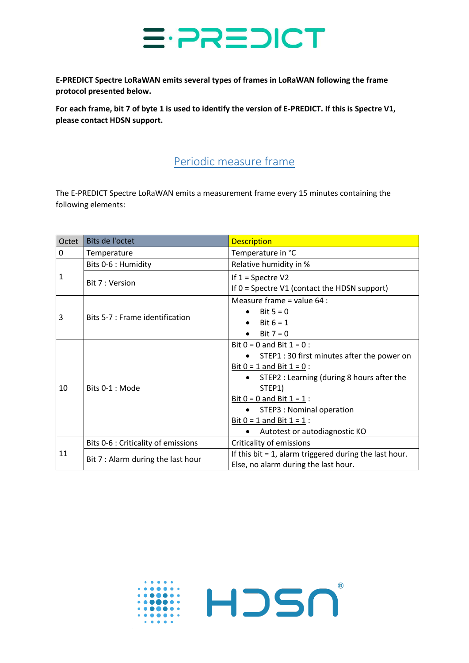

**E-PREDICT Spectre LoRaWAN emits several types of frames in LoRaWAN following the frame protocol presented below.** 

**For each frame, bit 7 of byte 1 is used to identify the version of E-PREDICT. If this is Spectre V1, please contact HDSN support.**

## Periodic measure frame

The E-PREDICT Spectre LoRaWAN emits a measurement frame every 15 minutes containing the following elements:

| Octet | Bits de l'octet                     | <b>Description</b>                                                                                                                                                                                                                                                                                                                |
|-------|-------------------------------------|-----------------------------------------------------------------------------------------------------------------------------------------------------------------------------------------------------------------------------------------------------------------------------------------------------------------------------------|
| 0     | Temperature                         | Temperature in °C                                                                                                                                                                                                                                                                                                                 |
| 1     | Bits 0-6 : Humidity                 | Relative humidity in %                                                                                                                                                                                                                                                                                                            |
|       | Bit 7 : Version                     | If $1 =$ Spectre V2<br>If $0 =$ Spectre V1 (contact the HDSN support)                                                                                                                                                                                                                                                             |
| 3     | Bits 5-7 : Frame identification     | Measure frame = value $64$ :<br>Bit $5 = 0$<br>$\bullet$<br>Bit $6 = 1$<br>Bit $7 = 0$                                                                                                                                                                                                                                            |
| 10    | Bits 0-1 : Mode                     | Bit $0 = 0$ and Bit $1 = 0$ :<br>• STEP1 : 30 first minutes after the power on<br>Bit $0 = 1$ and Bit $1 = 0$ :<br>STEP2 : Learning (during 8 hours after the<br>$\bullet$<br>STEP1)<br>Bit $0 = 0$ and Bit $1 = 1$ :<br>STEP3 : Nominal operation<br>Bit $0 = 1$ and Bit $1 = 1$ :<br>Autotest or autodiagnostic KO<br>$\bullet$ |
| 11    | Bits 0-6 : Criticality of emissions | Criticality of emissions                                                                                                                                                                                                                                                                                                          |
|       | Bit 7 : Alarm during the last hour  | If this bit $= 1$ , alarm triggered during the last hour.<br>Else, no alarm during the last hour.                                                                                                                                                                                                                                 |

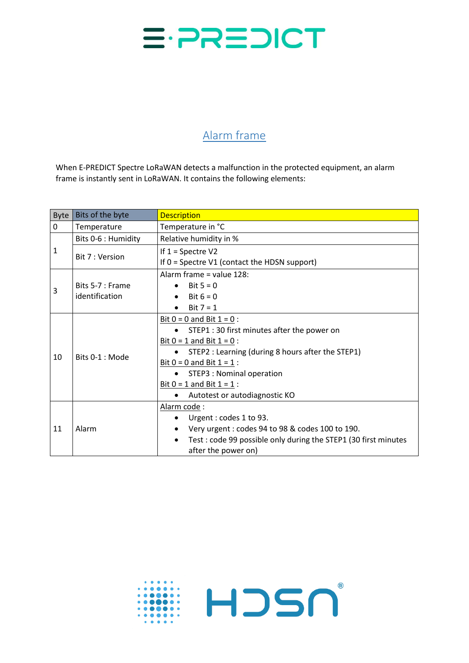

## Alarm frame

When E-PREDICT Spectre LoRaWAN detects a malfunction in the protected equipment, an alarm frame is instantly sent in LoRaWAN. It contains the following elements:

| <b>Byte</b>  | Bits of the byte                   | <b>Description</b>                                                                                                                                                                                                                                                                                                   |  |
|--------------|------------------------------------|----------------------------------------------------------------------------------------------------------------------------------------------------------------------------------------------------------------------------------------------------------------------------------------------------------------------|--|
| 0            | Temperature                        | Temperature in °C                                                                                                                                                                                                                                                                                                    |  |
| $\mathbf{1}$ | Bits 0-6 : Humidity                | Relative humidity in %                                                                                                                                                                                                                                                                                               |  |
|              | Bit 7 : Version                    | If $1 =$ Spectre V2<br>If $0 =$ Spectre V1 (contact the HDSN support)                                                                                                                                                                                                                                                |  |
| 3            | Bits 5-7 : Frame<br>identification | Alarm frame = value 128:<br>Bit $5 = 0$<br>Bit $6 = 0$<br>$\bullet$<br>Bit $7 = 1$                                                                                                                                                                                                                                   |  |
| 10           | Bits 0-1 : Mode                    | Bit $0 = 0$ and Bit $1 = 0$ :<br>STEP1 : 30 first minutes after the power on<br>Bit $0 = 1$ and Bit $1 = 0$ :<br>STEP2 : Learning (during 8 hours after the STEP1)<br>Bit $0 = 0$ and Bit $1 = 1$ :<br>STEP3 : Nominal operation<br>$\bullet$<br>Bit $0 = 1$ and Bit $1 = 1$ :<br>Autotest or autodiagnostic KO<br>٠ |  |
| 11           | Alarm                              | Alarm code:<br>Urgent: codes 1 to 93.<br>Very urgent : codes 94 to 98 & codes 100 to 190.<br>Test: code 99 possible only during the STEP1 (30 first minutes<br>$\bullet$<br>after the power on)                                                                                                                      |  |